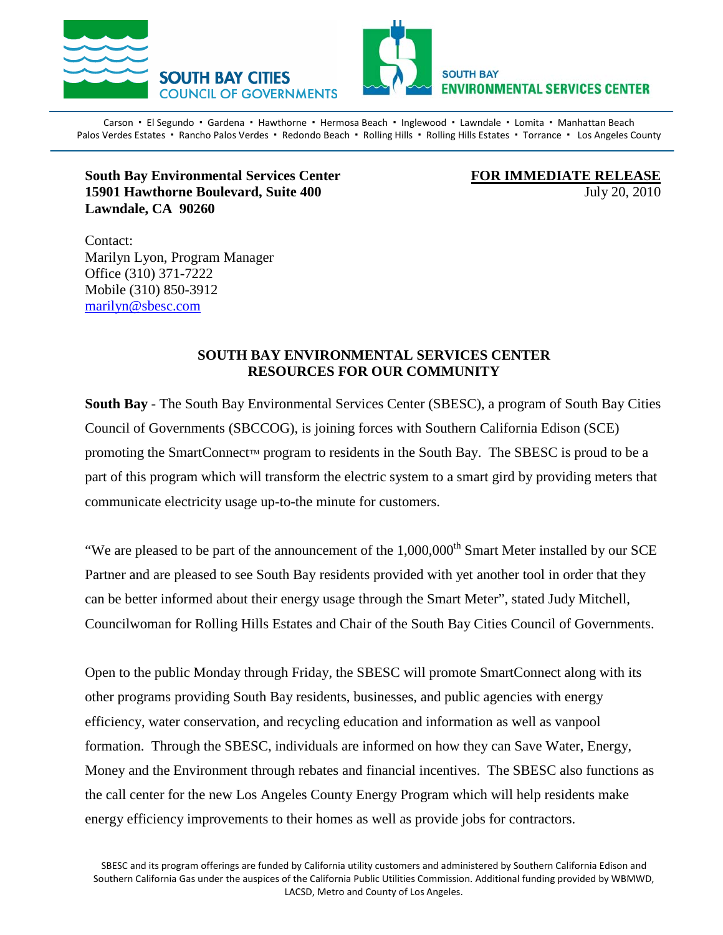



Carson · El Segundo · Gardena · Hawthorne · Hermosa Beach · Inglewood · Lawndale · Lomita · Manhattan Beach Palos Verdes Estates · Rancho Palos Verdes · Redondo Beach · Rolling Hills · Rolling Hills Estates · Torrance · Los Angeles County

## **South Bay Environmental Services Center 15901 Hawthorne Boulevard, Suite 400** July 20, 2010 **Lawndale, CA 90260**

FOR IMMEDIATE RELEASE

Contact: Marilyn Lyon, Program Manager Office (310) 371-7222 Mobile (310) 850-3912 [marilyn@sbesc.com](mailto:marilyn@sbesc.com)

## **SOUTH BAY ENVIRONMENTAL SERVICES CENTER RESOURCES FOR OUR COMMUNITY**

**South Bay** - The South Bay Environmental Services Center (SBESC), a program of South Bay Cities Council of Governments (SBCCOG), is joining forces with Southern California Edison (SCE) promoting the SmartConnect™ program to residents in the South Bay. The SBESC is proud to be a part of this program which will transform the electric system to a smart gird by providing meters that communicate electricity usage up-to-the minute for customers.

"We are pleased to be part of the announcement of the  $1,000,000$ <sup>th</sup> Smart Meter installed by our SCE Partner and are pleased to see South Bay residents provided with yet another tool in order that they can be better informed about their energy usage through the Smart Meter", stated Judy Mitchell, Councilwoman for Rolling Hills Estates and Chair of the South Bay Cities Council of Governments.

Open to the public Monday through Friday, the SBESC will promote SmartConnect along with its other programs providing South Bay residents, businesses, and public agencies with energy efficiency, water conservation, and recycling education and information as well as vanpool formation. Through the SBESC, individuals are informed on how they can Save Water, Energy, Money and the Environment through rebates and financial incentives. The SBESC also functions as the call center for the new Los Angeles County Energy Program which will help residents make energy efficiency improvements to their homes as well as provide jobs for contractors.